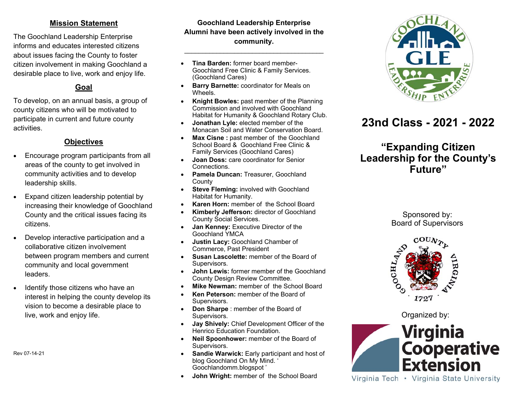### **Mission Statement**

The Goochland Leadership Enterprise informs and educates interested citizens about issues facing the County to foster citizen involvement in making Goochland a desirable place to live, work and enjoy life.

## **Goal**

To develop, on an annual basis, a group of county citizens who will be motivated to participate in current and future county activities.

### **Objectives**

- $\bullet$  Encourage program participants from all areas of the county to get involved in community activities and to develop leadership skills.
- $\bullet$  Expand citizen leadership potential by increasing their knowledge of Goochland County and the critical issues facing its citizens.
- $\bullet$  Develop interactive participation and a collaborative citizen involvement between program members and current community and local government leaders.
- $\bullet$  Identify those citizens who have an interest in helping the county develop its vision to become a desirable place to live, work and enjoy life.

Rev 07-14-21

### **Goochland Leadership Enterprise Alumni have been actively involved in the community.**

\_\_\_\_\_\_\_\_\_\_\_\_\_\_\_\_\_\_\_\_\_\_\_\_\_\_\_\_\_\_\_\_\_\_\_\_\_\_\_

- $\bullet$  **Tina Barden:** former board member-Goochland Free Clinic & Family Services. (Goochland Cares)
- **Barry Barnette:** coordinator for Meals on **Wheels**
- $\bullet$  **Knight Bowles:** past member of the Planning Commission and involved with Goochland Habitat for Humanity & Goochland Rotary Club.
- $\bullet$  **Jonathan Lyle:** elected member of the Monacan Soil and Water Conservation Board.
- $\bullet$ **Max Cisne : past member of the Goochland** School Board & Goochland Free Clinic & Family Services (Goochland Cares)
- $\bullet$  **Joan Doss:** care coordinator for Senior Connections.
- **Pamela Duncan:** Treasurer, Goochland **County**
- $\bullet$ **Steve Fleming: involved with Goochland** Habitat for Humanity.
- $\bullet$ **Karen Horn:** member of the School Board
- $\bullet$  **Kimberly Jefferson:** director of Goochland County Social Services.
- $\bullet$  **Jan Kenney:** Executive Director of the Goochland YMCA
- $\bullet$  **Justin Lacy:** Goochland Chamber of Commerce, Past President
- $\bullet$ **Susan Lascolette:** member of the Board of Supervisors.
- $\bullet$  **John Lewis:** former member of the Goochland County Design Review Committee.
- $\bullet$ **Mike Newman:** member of the School Board
- $\bullet$ **Ken Peterson:** member of the Board of Supervisors.
- $\bullet$  **Don Sharpe** : member of the Board of Supervisors.
- $\bullet$  **Jay Shively:** Chief Development Officer of the Henrico Education Foundation.
- $\bullet$  **Neil Spoonhower:** member of the Board of Supervisors.
- $\bullet$ **Sandie Warwick: Early participant and host of** blog Goochland On My Mind. ' Goochlandomm.blogspot '
- $\bullet$ **John Wright:** member of the School Board



# **23nd Class - 2021 - 2022**

# **"Expanding Citizen Leadership for the County's Future"**

Sponsored by: Board of Supervisors



Organized by:



Virginia Tech • Virginia State University